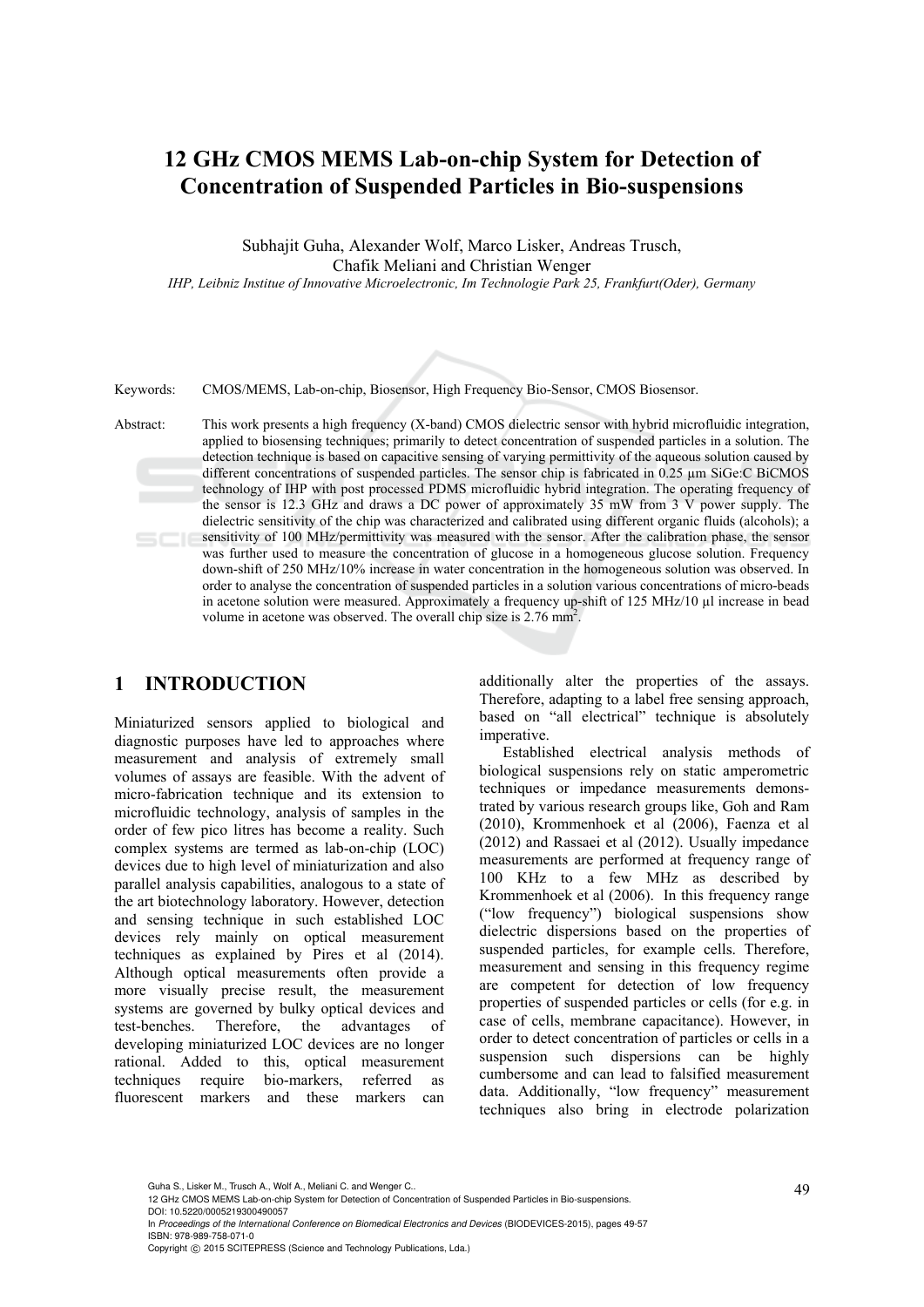# **12 GHz CMOS MEMS Lab-on-chip System for Detection of Concentration of Suspended Particles in Bio-suspensions**

Subhajit Guha, Alexander Wolf, Marco Lisker, Andreas Trusch, Chafik Meliani and Christian Wenger

*IHP, Leibniz Institue of Innovative Microelectronic, Im Technologie Park 25, Frankfurt(Oder), Germany* 

Keywords: CMOS/MEMS, Lab-on-chip, Biosensor, High Frequency Bio-Sensor, CMOS Biosensor.

Abstract: This work presents a high frequency (X-band) CMOS dielectric sensor with hybrid microfluidic integration, applied to biosensing techniques; primarily to detect concentration of suspended particles in a solution. The detection technique is based on capacitive sensing of varying permittivity of the aqueous solution caused by different concentrations of suspended particles. The sensor chip is fabricated in 0.25  $\mu$ m SiGe:C BiCMOS technology of IHP with post processed PDMS microfluidic hybrid integration. The operating frequency of the sensor is 12.3 GHz and draws a DC power of approximately 35 mW from 3 V power supply. The dielectric sensitivity of the chip was characterized and calibrated using different organic fluids (alcohols); a sensitivity of 100 MHz/permittivity was measured with the sensor. After the calibration phase, the sensor was further used to measure the concentration of glucose in a homogeneous glucose solution. Frequency down-shift of 250 MHz/10% increase in water concentration in the homogeneous solution was observed. In order to analyse the concentration of suspended particles in a solution various concentrations of micro-beads in acetone solution were measured. Approximately a frequency up-shift of 125 MHz/10 µl increase in bead volume in acetone was observed. The overall chip size is  $2.76 \text{ mm}^2$ .

### **1 INTRODUCTION**

Miniaturized sensors applied to biological and diagnostic purposes have led to approaches where measurement and analysis of extremely small volumes of assays are feasible. With the advent of micro-fabrication technique and its extension to microfluidic technology, analysis of samples in the order of few pico litres has become a reality. Such complex systems are termed as lab-on-chip (LOC) devices due to high level of miniaturization and also parallel analysis capabilities, analogous to a state of the art biotechnology laboratory. However, detection and sensing technique in such established LOC devices rely mainly on optical measurement techniques as explained by Pires et al (2014). Although optical measurements often provide a more visually precise result, the measurement systems are governed by bulky optical devices and test-benches. Therefore, the advantages of developing miniaturized LOC devices are no longer rational. Added to this, optical measurement techniques require bio-markers, referred as fluorescent markers and these markers can

additionally alter the properties of the assays. Therefore, adapting to a label free sensing approach, based on "all electrical" technique is absolutely imperative.

Established electrical analysis methods of biological suspensions rely on static amperometric techniques or impedance measurements demonstrated by various research groups like, Goh and Ram (2010), Krommenhoek et al (2006), Faenza et al (2012) and Rassaei et al (2012). Usually impedance measurements are performed at frequency range of 100 KHz to a few MHz as described by Krommenhoek et al (2006). In this frequency range ("low frequency") biological suspensions show dielectric dispersions based on the properties of suspended particles, for example cells. Therefore, measurement and sensing in this frequency regime are competent for detection of low frequency properties of suspended particles or cells (for e.g. in case of cells, membrane capacitance). However, in order to detect concentration of particles or cells in a suspension such dispersions can be highly cumbersome and can lead to falsified measurement data. Additionally, "low frequency" measurement techniques also bring in electrode polarization

49 Guha S., Lisker M., Trusch A., Wolf A., Meliani C. and Wenger C.. 12 GHz CMOS MEMS Lab-on-chip System for Detection of Concentration of Suspended Particles in Bio-suspensions. DOI: 10.5220/0005219300490057

In *Proceedings of the International Conference on Biomedical Electronics and Devices* (BIODEVICES-2015), pages 49-57 ISBN: 978-989-758-071-0

Copyright © 2015 SCITEPRESS (Science and Technology Publications, Lda.)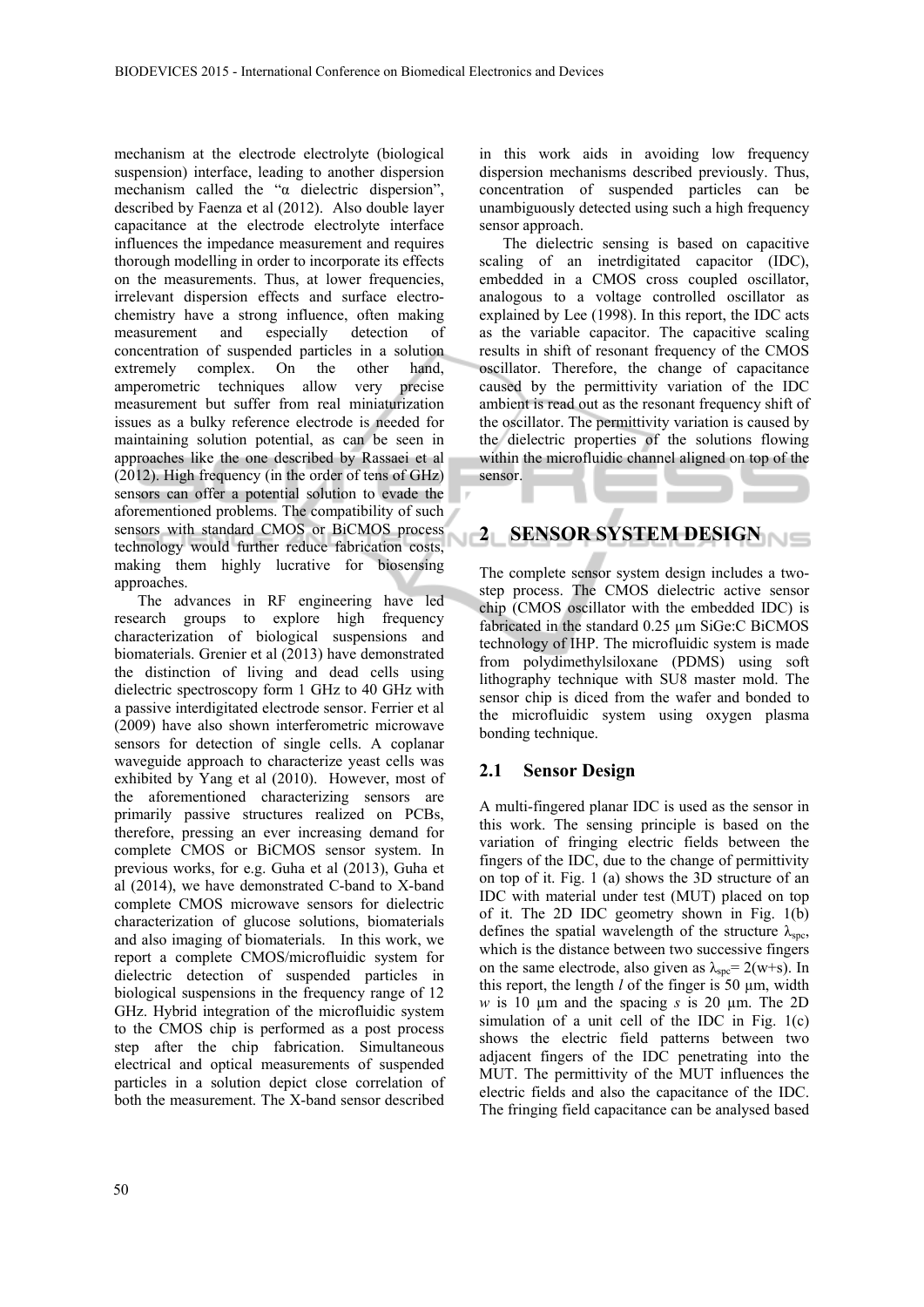mechanism at the electrode electrolyte (biological suspension) interface, leading to another dispersion mechanism called the "α dielectric dispersion", described by Faenza et al (2012). Also double layer capacitance at the electrode electrolyte interface influences the impedance measurement and requires thorough modelling in order to incorporate its effects on the measurements. Thus, at lower frequencies, irrelevant dispersion effects and surface electrochemistry have a strong influence, often making measurement and especially detection of concentration of suspended particles in a solution extremely complex. On the other hand, amperometric techniques allow very precise measurement but suffer from real miniaturization issues as a bulky reference electrode is needed for maintaining solution potential, as can be seen in approaches like the one described by Rassaei et al (2012). High frequency (in the order of tens of GHz) sensors can offer a potential solution to evade the aforementioned problems. The compatibility of such sensors with standard CMOS or BiCMOS process Ń technology would further reduce fabrication costs, making them highly lucrative for biosensing approaches.

The advances in RF engineering have led research groups to explore high frequency characterization of biological suspensions and biomaterials. Grenier et al (2013) have demonstrated the distinction of living and dead cells using dielectric spectroscopy form 1 GHz to 40 GHz with a passive interdigitated electrode sensor. Ferrier et al (2009) have also shown interferometric microwave sensors for detection of single cells. A coplanar waveguide approach to characterize yeast cells was exhibited by Yang et al (2010). However, most of the aforementioned characterizing sensors are primarily passive structures realized on PCBs, therefore, pressing an ever increasing demand for complete CMOS or BiCMOS sensor system. In previous works, for e.g. Guha et al (2013), Guha et al (2014), we have demonstrated C-band to X-band complete CMOS microwave sensors for dielectric characterization of glucose solutions, biomaterials and also imaging of biomaterials. In this work, we report a complete CMOS/microfluidic system for dielectric detection of suspended particles in biological suspensions in the frequency range of 12 GHz. Hybrid integration of the microfluidic system to the CMOS chip is performed as a post process step after the chip fabrication. Simultaneous electrical and optical measurements of suspended particles in a solution depict close correlation of both the measurement. The X-band sensor described

in this work aids in avoiding low frequency dispersion mechanisms described previously. Thus, concentration of suspended particles can be unambiguously detected using such a high frequency sensor approach.

The dielectric sensing is based on capacitive scaling of an inetrdigitated capacitor (IDC), embedded in a CMOS cross coupled oscillator, analogous to a voltage controlled oscillator as explained by Lee (1998). In this report, the IDC acts as the variable capacitor. The capacitive scaling results in shift of resonant frequency of the CMOS oscillator. Therefore, the change of capacitance caused by the permittivity variation of the IDC ambient is read out as the resonant frequency shift of the oscillator. The permittivity variation is caused by the dielectric properties of the solutions flowing within the microfluidic channel aligned on top of the sensor.

# **2 SENSOR SYSTEM DESIGN**

The complete sensor system design includes a twostep process. The CMOS dielectric active sensor chip (CMOS oscillator with the embedded IDC) is fabricated in the standard 0.25 µm SiGe:C BiCMOS technology of IHP. The microfluidic system is made from polydimethylsiloxane (PDMS) using soft lithography technique with SU8 master mold. The sensor chip is diced from the wafer and bonded to the microfluidic system using oxygen plasma bonding technique.

## **2.1 Sensor Design**

A multi-fingered planar IDC is used as the sensor in this work. The sensing principle is based on the variation of fringing electric fields between the fingers of the IDC, due to the change of permittivity on top of it. Fig. 1 (a) shows the 3D structure of an IDC with material under test (MUT) placed on top of it. The 2D IDC geometry shown in Fig. 1(b) defines the spatial wavelength of the structure  $\lambda_{\rm{src}}$ , which is the distance between two successive fingers on the same electrode, also given as  $\lambda_{\rm spe}$  = 2(w+s). In this report, the length  $l$  of the finger is 50  $\mu$ m, width *w* is 10 µm and the spacing *s* is 20 µm. The 2D simulation of a unit cell of the IDC in Fig. 1(c) shows the electric field patterns between two adjacent fingers of the IDC penetrating into the MUT. The permittivity of the MUT influences the electric fields and also the capacitance of the IDC. The fringing field capacitance can be analysed based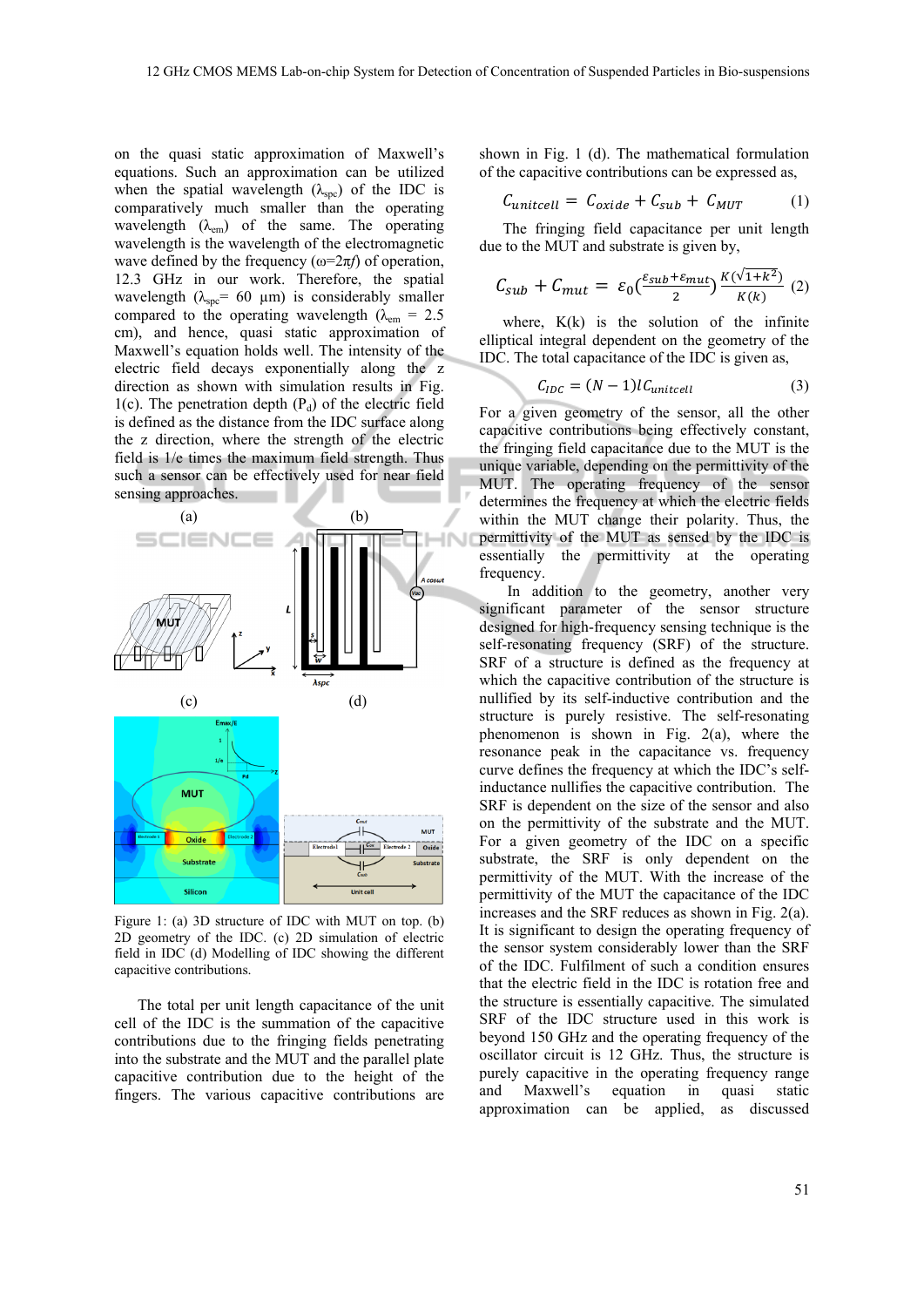on the quasi static approximation of Maxwell's equations. Such an approximation can be utilized when the spatial wavelength  $(\lambda_{\text{soc}})$  of the IDC is comparatively much smaller than the operating wavelength  $(\lambda_{em})$  of the same. The operating wavelength is the wavelength of the electromagnetic wave defined by the frequency  $(\omega=2\pi f)$  of operation, 12.3 GHz in our work. Therefore, the spatial wavelength ( $\lambda_{\rm spe}$ = 60 µm) is considerably smaller compared to the operating wavelength ( $\lambda_{\text{em}} = 2.5$ ) cm), and hence, quasi static approximation of Maxwell's equation holds well. The intensity of the electric field decays exponentially along the z direction as shown with simulation results in Fig. 1(c). The penetration depth  $(P_d)$  of the electric field is defined as the distance from the IDC surface along the z direction, where the strength of the electric field is 1/e times the maximum field strength. Thus such a sensor can be effectively used for near field sensing approaches.



Figure 1: (a) 3D structure of IDC with MUT on top. (b) 2D geometry of the IDC. (c) 2D simulation of electric field in IDC (d) Modelling of IDC showing the different capacitive contributions.

The total per unit length capacitance of the unit cell of the IDC is the summation of the capacitive contributions due to the fringing fields penetrating into the substrate and the MUT and the parallel plate capacitive contribution due to the height of the fingers. The various capacitive contributions are

shown in Fig. 1 (d). The mathematical formulation of the capacitive contributions can be expressed as,

$$
C_{unitcell} = C_{oxide} + C_{sub} + C_{MUT} \tag{1}
$$

The fringing field capacitance per unit length due to the MUT and substrate is given by,

$$
C_{sub} + C_{mut} = \varepsilon_0 \left(\frac{\varepsilon_{sub} + \varepsilon_{mut}}{2}\right) \frac{K(\sqrt{1+k^2})}{K(k)} \tag{2}
$$

where,  $K(k)$  is the solution of the infinite elliptical integral dependent on the geometry of the IDC. The total capacitance of the IDC is given as,

$$
C_{IDC} = (N-1)lC_{unitcell}
$$
 (3)

For a given geometry of the sensor, all the other capacitive contributions being effectively constant, the fringing field capacitance due to the MUT is the unique variable, depending on the permittivity of the MUT. The operating frequency of the sensor determines the frequency at which the electric fields within the MUT change their polarity. Thus, the permittivity of the MUT as sensed by the IDC is essentially the permittivity at the operating frequency.

In addition to the geometry, another very significant parameter of the sensor structure designed for high-frequency sensing technique is the self-resonating frequency (SRF) of the structure. SRF of a structure is defined as the frequency at which the capacitive contribution of the structure is nullified by its self-inductive contribution and the structure is purely resistive. The self-resonating phenomenon is shown in Fig. 2(a), where the resonance peak in the capacitance vs. frequency curve defines the frequency at which the IDC's selfinductance nullifies the capacitive contribution. The SRF is dependent on the size of the sensor and also on the permittivity of the substrate and the MUT. For a given geometry of the IDC on a specific substrate, the SRF is only dependent on the permittivity of the MUT. With the increase of the permittivity of the MUT the capacitance of the IDC increases and the SRF reduces as shown in Fig. 2(a). It is significant to design the operating frequency of the sensor system considerably lower than the SRF of the IDC. Fulfilment of such a condition ensures that the electric field in the IDC is rotation free and the structure is essentially capacitive. The simulated SRF of the IDC structure used in this work is beyond 150 GHz and the operating frequency of the oscillator circuit is 12 GHz. Thus, the structure is purely capacitive in the operating frequency range and Maxwell's equation in quasi static approximation can be applied, as discussed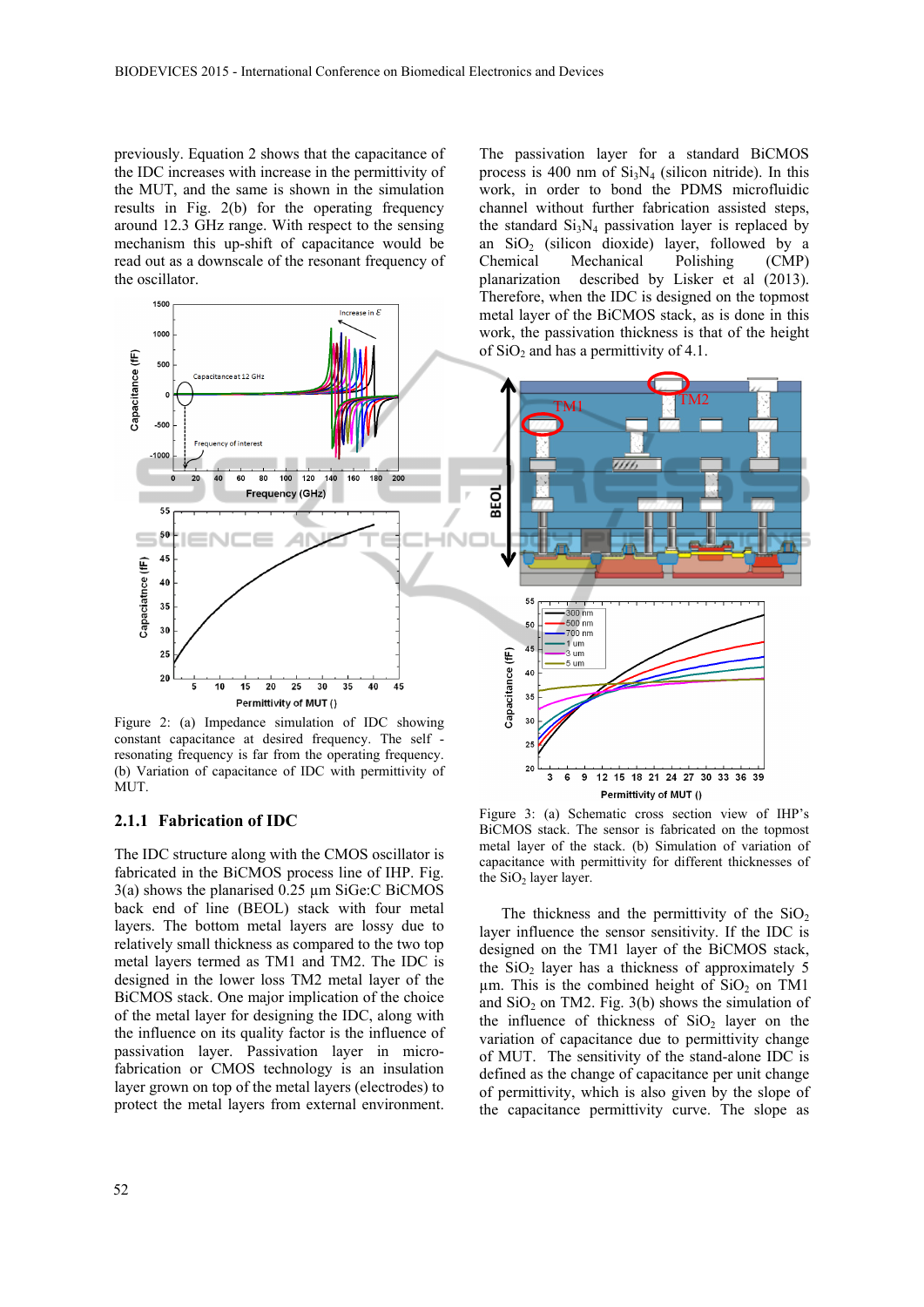previously. Equation 2 shows that the capacitance of the IDC increases with increase in the permittivity of the MUT, and the same is shown in the simulation results in Fig. 2(b) for the operating frequency around 12.3 GHz range. With respect to the sensing mechanism this up-shift of capacitance would be read out as a downscale of the resonant frequency of the oscillator.



Figure 2: (a) Impedance simulation of IDC showing constant capacitance at desired frequency. The self resonating frequency is far from the operating frequency. (b) Variation of capacitance of IDC with permittivity of MUT.

#### **2.1.1 Fabrication of IDC**

The IDC structure along with the CMOS oscillator is fabricated in the BiCMOS process line of IHP. Fig. 3(a) shows the planarised 0.25 µm SiGe:C BiCMOS back end of line (BEOL) stack with four metal layers. The bottom metal layers are lossy due to relatively small thickness as compared to the two top metal layers termed as TM1 and TM2. The IDC is designed in the lower loss TM2 metal layer of the BiCMOS stack. One major implication of the choice of the metal layer for designing the IDC, along with the influence on its quality factor is the influence of passivation layer. Passivation layer in microfabrication or CMOS technology is an insulation layer grown on top of the metal layers (electrodes) to protect the metal layers from external environment.

52

The passivation layer for a standard BiCMOS process is 400 nm of  $Si<sub>3</sub>N<sub>4</sub>$  (silicon nitride). In this work, in order to bond the PDMS microfluidic channel without further fabrication assisted steps, the standard  $Si<sub>3</sub>N<sub>4</sub>$  passivation layer is replaced by an  $SiO<sub>2</sub>$  (silicon dioxide) layer, followed by a Chemical Mechanical Polishing (CMP) Mechanical Polishing (CMP) planarization described by Lisker et al (2013). Therefore, when the IDC is designed on the topmost metal layer of the BiCMOS stack, as is done in this work, the passivation thickness is that of the height of  $SiO<sub>2</sub>$  and has a permittivity of 4.1.



Figure 3: (a) Schematic cross section view of IHP's BiCMOS stack. The sensor is fabricated on the topmost metal layer of the stack. (b) Simulation of variation of capacitance with permittivity for different thicknesses of the  $SiO<sub>2</sub>$  layer layer.

The thickness and the permittivity of the  $SiO<sub>2</sub>$ layer influence the sensor sensitivity. If the IDC is designed on the TM1 layer of the BiCMOS stack, the  $SiO<sub>2</sub>$  layer has a thickness of approximately 5  $\mu$ m. This is the combined height of SiO<sub>2</sub> on TM1 and  $SiO<sub>2</sub>$  on TM2. Fig. 3(b) shows the simulation of the influence of thickness of  $SiO<sub>2</sub>$  layer on the variation of capacitance due to permittivity change of MUT. The sensitivity of the stand-alone IDC is defined as the change of capacitance per unit change of permittivity, which is also given by the slope of the capacitance permittivity curve. The slope as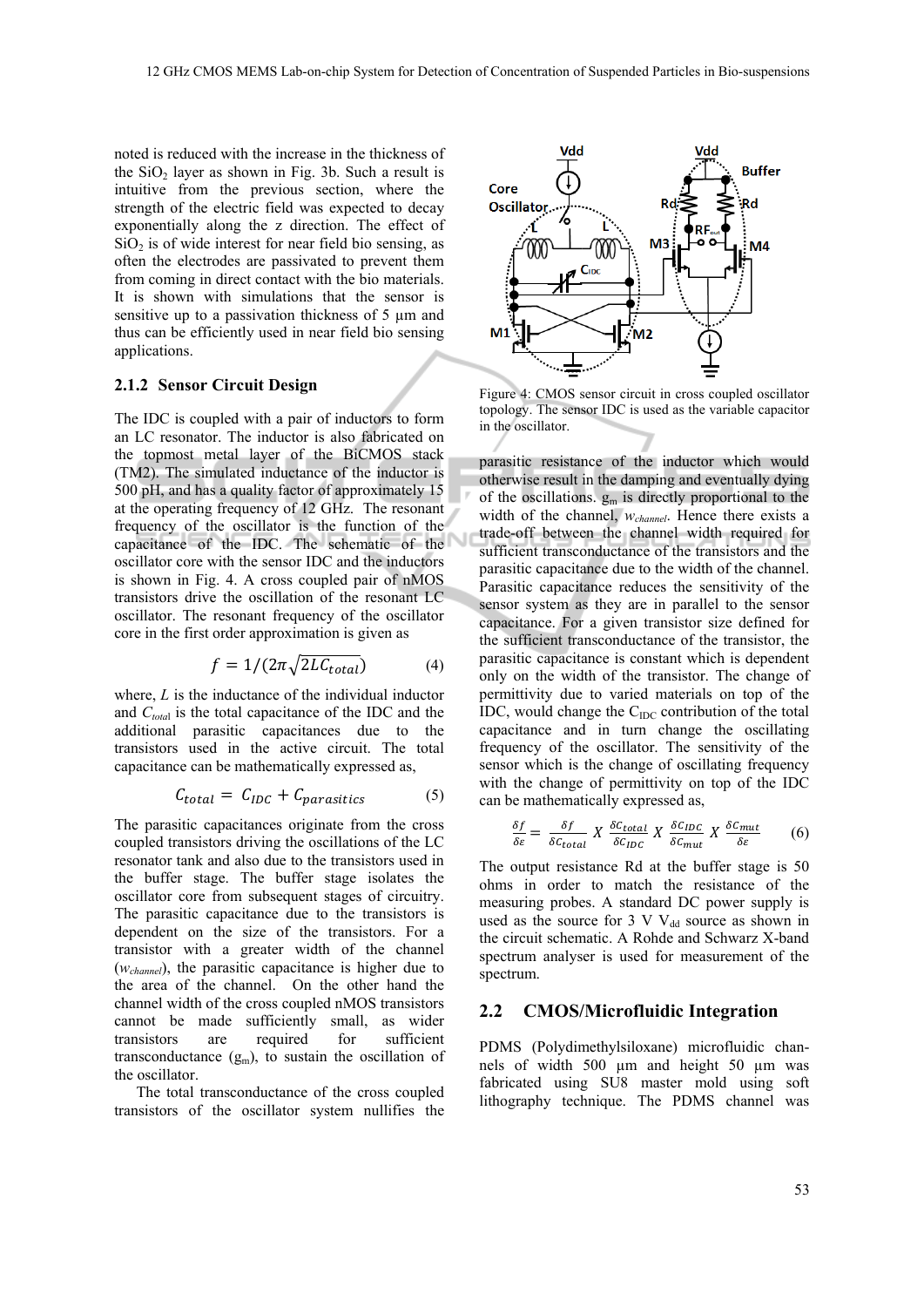noted is reduced with the increase in the thickness of the  $SiO<sub>2</sub>$  layer as shown in Fig. 3b. Such a result is intuitive from the previous section, where the strength of the electric field was expected to decay exponentially along the z direction. The effect of  $SiO<sub>2</sub>$  is of wide interest for near field bio sensing, as often the electrodes are passivated to prevent them from coming in direct contact with the bio materials. It is shown with simulations that the sensor is sensitive up to a passivation thickness of 5  $\mu$ m and thus can be efficiently used in near field bio sensing applications.

### **2.1.2 Sensor Circuit Design**

The IDC is coupled with a pair of inductors to form an LC resonator. The inductor is also fabricated on the topmost metal layer of the BiCMOS stack (TM2). The simulated inductance of the inductor is 500 pH, and has a quality factor of approximately 15 at the operating frequency of 12 GHz. The resonant frequency of the oscillator is the function of the capacitance of the IDC. The schematic of the oscillator core with the sensor IDC and the inductors is shown in Fig. 4. A cross coupled pair of nMOS transistors drive the oscillation of the resonant LC oscillator. The resonant frequency of the oscillator core in the first order approximation is given as

$$
f = 1/(2\pi\sqrt{2LC_{total}})
$$
 (4)

where, *L* is the inductance of the individual inductor and *C<sub>total</sub>* is the total capacitance of the IDC and the additional parasitic capacitances due to the transistors used in the active circuit. The total capacitance can be mathematically expressed as,

$$
C_{total} = C_{IDC} + C_{parasitics} \tag{5}
$$

The parasitic capacitances originate from the cross coupled transistors driving the oscillations of the LC resonator tank and also due to the transistors used in the buffer stage. The buffer stage isolates the oscillator core from subsequent stages of circuitry. The parasitic capacitance due to the transistors is dependent on the size of the transistors. For a transistor with a greater width of the channel (*wchannel*), the parasitic capacitance is higher due to the area of the channel. On the other hand the channel width of the cross coupled nMOS transistors cannot be made sufficiently small, as wider transistors are required for sufficient transconductance  $(g_m)$ , to sustain the oscillation of the oscillator.

The total transconductance of the cross coupled transistors of the oscillator system nullifies the



Figure 4: CMOS sensor circuit in cross coupled oscillator topology. The sensor IDC is used as the variable capacitor in the oscillator.

parasitic resistance of the inductor which would otherwise result in the damping and eventually dying of the oscillations.  $g_m$  is directly proportional to the width of the channel, *wchannel*. Hence there exists a trade-off between the channel width required for sufficient transconductance of the transistors and the parasitic capacitance due to the width of the channel. Parasitic capacitance reduces the sensitivity of the sensor system as they are in parallel to the sensor capacitance. For a given transistor size defined for the sufficient transconductance of the transistor, the parasitic capacitance is constant which is dependent only on the width of the transistor. The change of permittivity due to varied materials on top of the IDC, would change the  $C_{IDC}$  contribution of the total capacitance and in turn change the oscillating frequency of the oscillator. The sensitivity of the sensor which is the change of oscillating frequency with the change of permittivity on top of the IDC can be mathematically expressed as,

$$
\frac{\delta f}{\delta \varepsilon} = \frac{\delta f}{\delta c_{total}} X \frac{\delta c_{total}}{\delta c_{IDC}} X \frac{\delta c_{IDC}}{\delta c_{mut}} X \frac{\delta c_{mut}}{\delta \varepsilon} \tag{6}
$$

The output resistance Rd at the buffer stage is 50 ohms in order to match the resistance of the measuring probes. A standard DC power supply is used as the source for 3 V  $V_{dd}$  source as shown in the circuit schematic. A Rohde and Schwarz X-band spectrum analyser is used for measurement of the spectrum.

#### **2.2 CMOS/Microfluidic Integration**

PDMS (Polydimethylsiloxane) microfluidic channels of width 500 µm and height 50 µm was fabricated using SU8 master mold using soft lithography technique. The PDMS channel was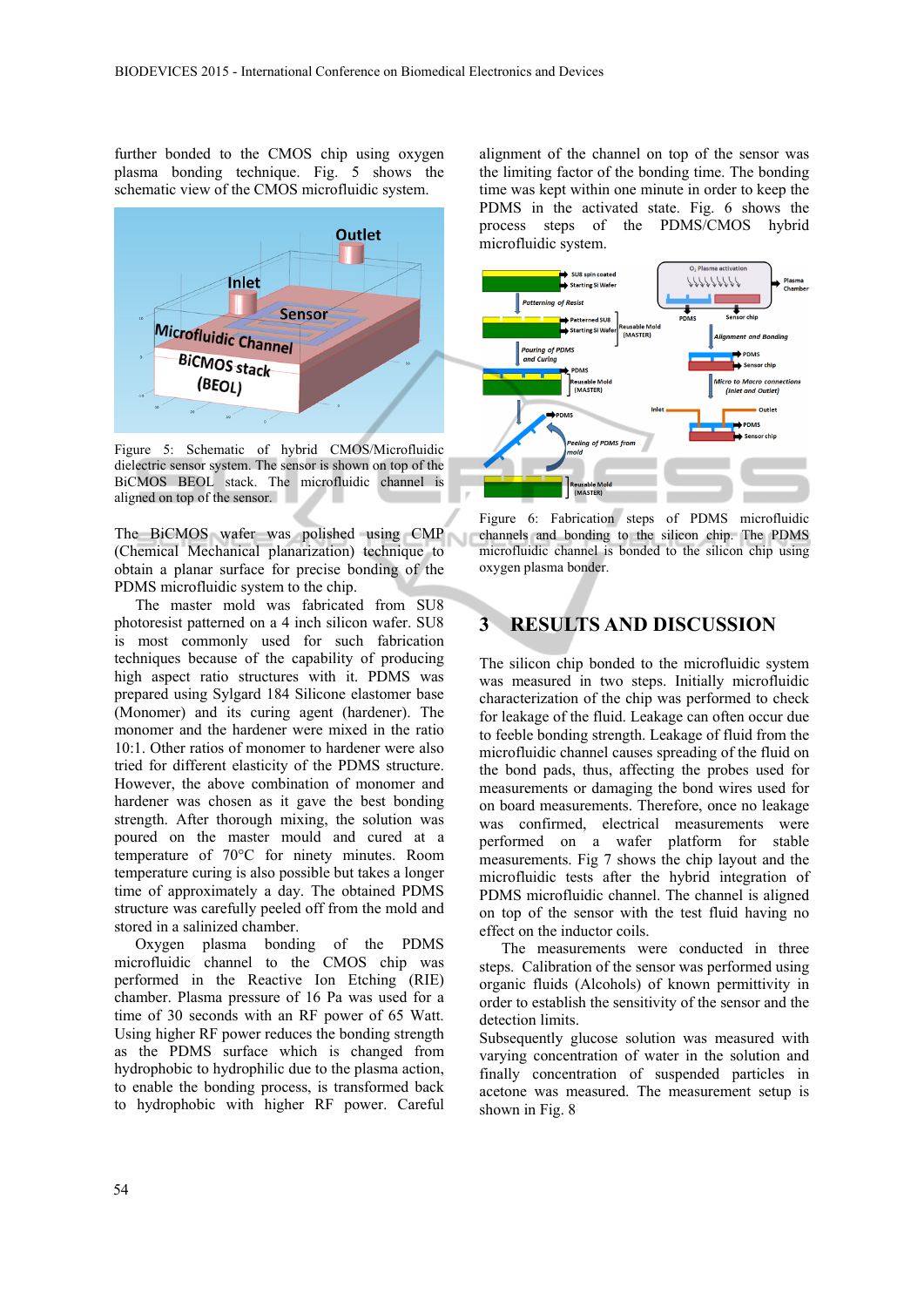further bonded to the CMOS chip using oxygen plasma bonding technique. Fig. 5 shows the schematic view of the CMOS microfluidic system.



Figure 5: Schematic of hybrid CMOS/Microfluidic dielectric sensor system. The sensor is shown on top of the BiCMOS BEOL stack. The microfluidic channel is aligned on top of the sensor.

The BiCMOS wafer was polished using CMP (Chemical Mechanical planarization) technique to obtain a planar surface for precise bonding of the PDMS microfluidic system to the chip.

The master mold was fabricated from SU8 photoresist patterned on a 4 inch silicon wafer. SU8 is most commonly used for such fabrication techniques because of the capability of producing high aspect ratio structures with it. PDMS was prepared using Sylgard 184 Silicone elastomer base (Monomer) and its curing agent (hardener). The monomer and the hardener were mixed in the ratio 10:1. Other ratios of monomer to hardener were also tried for different elasticity of the PDMS structure. However, the above combination of monomer and hardener was chosen as it gave the best bonding strength. After thorough mixing, the solution was poured on the master mould and cured at a temperature of 70°C for ninety minutes. Room temperature curing is also possible but takes a longer time of approximately a day. The obtained PDMS structure was carefully peeled off from the mold and stored in a salinized chamber.

Oxygen plasma bonding of the PDMS microfluidic channel to the CMOS chip was performed in the Reactive Ion Etching (RIE) chamber. Plasma pressure of 16 Pa was used for a time of 30 seconds with an RF power of 65 Watt. Using higher RF power reduces the bonding strength as the PDMS surface which is changed from hydrophobic to hydrophilic due to the plasma action, to enable the bonding process, is transformed back to hydrophobic with higher RF power. Careful

alignment of the channel on top of the sensor was the limiting factor of the bonding time. The bonding time was kept within one minute in order to keep the PDMS in the activated state. Fig. 6 shows the process steps of the PDMS/CMOS hybrid microfluidic system.



Figure 6: Fabrication steps of PDMS microfluidic channels and bonding to the silicon chip. The PDMS microfluidic channel is bonded to the silicon chip using oxygen plasma bonder.

# **3 RESULTS AND DISCUSSION**

The silicon chip bonded to the microfluidic system was measured in two steps. Initially microfluidic characterization of the chip was performed to check for leakage of the fluid. Leakage can often occur due to feeble bonding strength. Leakage of fluid from the microfluidic channel causes spreading of the fluid on the bond pads, thus, affecting the probes used for measurements or damaging the bond wires used for on board measurements. Therefore, once no leakage was confirmed, electrical measurements were performed on a wafer platform for stable measurements. Fig 7 shows the chip layout and the microfluidic tests after the hybrid integration of PDMS microfluidic channel. The channel is aligned on top of the sensor with the test fluid having no effect on the inductor coils.

The measurements were conducted in three steps. Calibration of the sensor was performed using organic fluids (Alcohols) of known permittivity in order to establish the sensitivity of the sensor and the detection limits.

Subsequently glucose solution was measured with varying concentration of water in the solution and finally concentration of suspended particles in acetone was measured. The measurement setup is shown in Fig. 8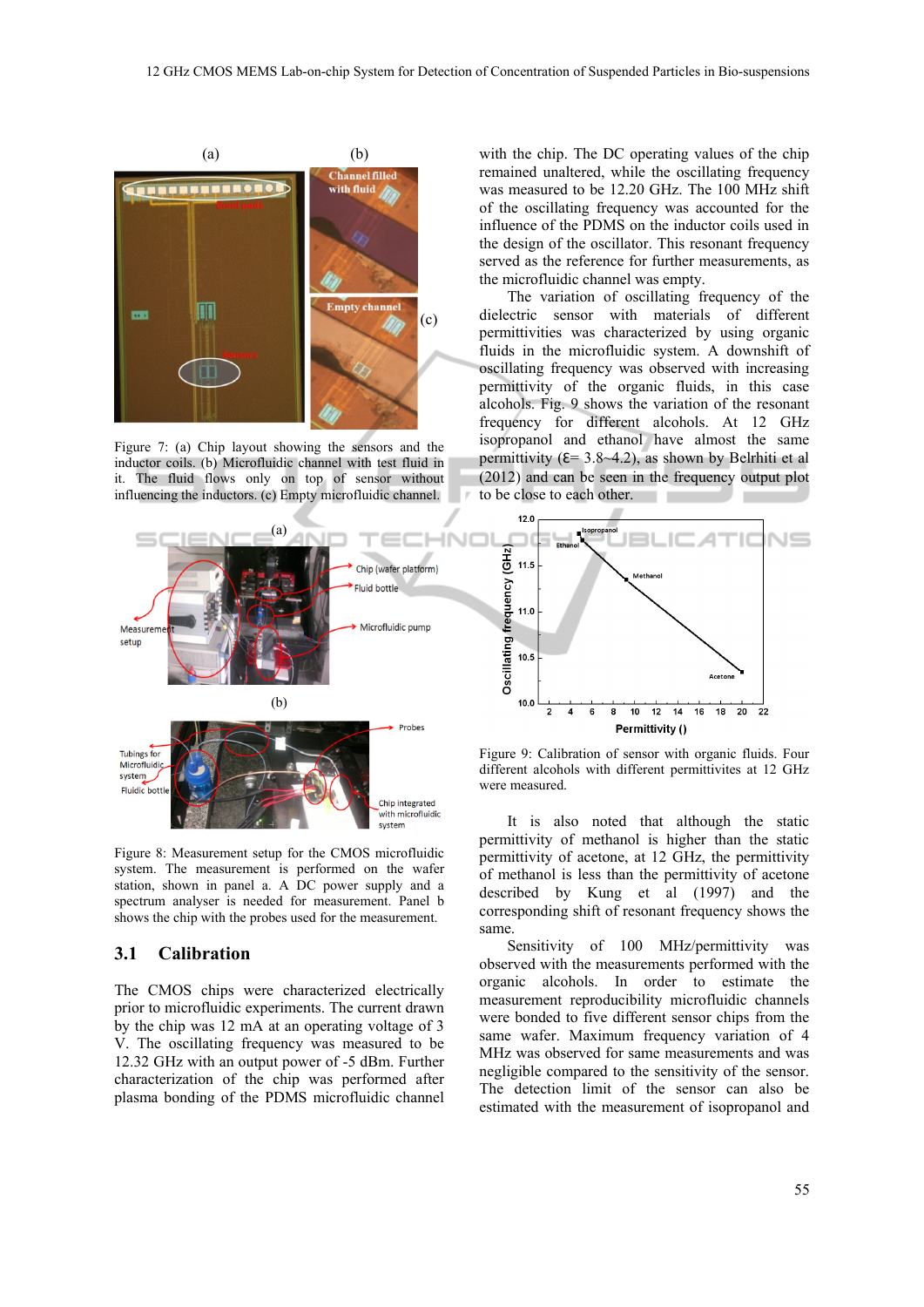

Figure 7: (a) Chip layout showing the sensors and the inductor coils. (b) Microfluidic channel with test fluid in it. The fluid flows only on top of sensor without influencing the inductors. (c) Empty microfluidic channel.



Figure 8: Measurement setup for the CMOS microfluidic system. The measurement is performed on the wafer station, shown in panel a. A DC power supply and a spectrum analyser is needed for measurement. Panel b shows the chip with the probes used for the measurement.

#### **3.1 Calibration**

The CMOS chips were characterized electrically prior to microfluidic experiments. The current drawn by the chip was 12 mA at an operating voltage of 3 V. The oscillating frequency was measured to be 12.32 GHz with an output power of -5 dBm. Further characterization of the chip was performed after plasma bonding of the PDMS microfluidic channel

with the chip. The DC operating values of the chip remained unaltered, while the oscillating frequency was measured to be 12.20 GHz. The 100 MHz shift of the oscillating frequency was accounted for the influence of the PDMS on the inductor coils used in the design of the oscillator. This resonant frequency served as the reference for further measurements, as the microfluidic channel was empty.

The variation of oscillating frequency of the dielectric sensor with materials of different permittivities was characterized by using organic fluids in the microfluidic system. A downshift of oscillating frequency was observed with increasing permittivity of the organic fluids, in this case alcohols. Fig. 9 shows the variation of the resonant frequency for different alcohols. At 12 GHz isopropanol and ethanol have almost the same permittivity ( $E = 3.8 - 4.2$ ), as shown by Belrhiti et al (2012) and can be seen in the frequency output plot to be close to each other.



Figure 9: Calibration of sensor with organic fluids. Four different alcohols with different permittivites at 12 GHz were measured.

It is also noted that although the static permittivity of methanol is higher than the static permittivity of acetone, at 12 GHz, the permittivity of methanol is less than the permittivity of acetone described by Kung et al (1997) and the corresponding shift of resonant frequency shows the same.

Sensitivity of 100 MHz/permittivity was observed with the measurements performed with the organic alcohols. In order to estimate the measurement reproducibility microfluidic channels were bonded to five different sensor chips from the same wafer. Maximum frequency variation of 4 MHz was observed for same measurements and was negligible compared to the sensitivity of the sensor. The detection limit of the sensor can also be estimated with the measurement of isopropanol and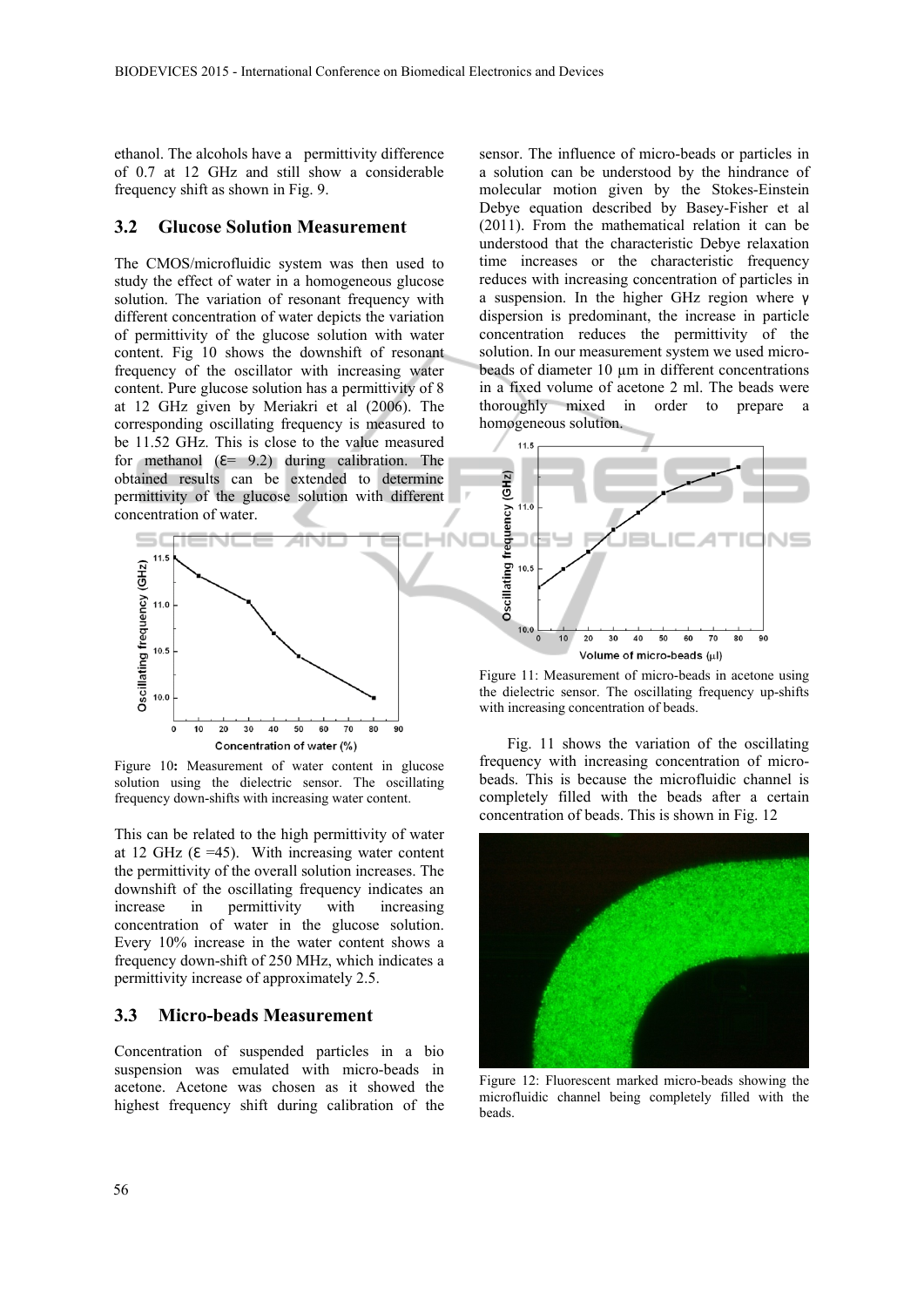IN

ethanol. The alcohols have a permittivity difference of 0.7 at 12 GHz and still show a considerable frequency shift as shown in Fig. 9.

#### **3.2 Glucose Solution Measurement**

The CMOS/microfluidic system was then used to study the effect of water in a homogeneous glucose solution. The variation of resonant frequency with different concentration of water depicts the variation of permittivity of the glucose solution with water content. Fig 10 shows the downshift of resonant frequency of the oscillator with increasing water content. Pure glucose solution has a permittivity of 8 at 12 GHz given by Meriakri et al (2006). The corresponding oscillating frequency is measured to be 11.52 GHz. This is close to the value measured for methanol  $(E= 9.2)$  during calibration. The obtained results can be extended to determine permittivity of the glucose solution with different concentration of water.



Figure 10**:** Measurement of water content in glucose solution using the dielectric sensor. The oscillating frequency down-shifts with increasing water content.

This can be related to the high permittivity of water at 12 GHz  $(E = 45)$ . With increasing water content the permittivity of the overall solution increases. The downshift of the oscillating frequency indicates an increase in permittivity with increasing concentration of water in the glucose solution. Every 10% increase in the water content shows a frequency down-shift of 250 MHz, which indicates a permittivity increase of approximately 2.5.

### **3.3 Micro-beads Measurement**

Concentration of suspended particles in a bio suspension was emulated with micro-beads in acetone. Acetone was chosen as it showed the highest frequency shift during calibration of the

sensor. The influence of micro-beads or particles in a solution can be understood by the hindrance of molecular motion given by the Stokes-Einstein Debye equation described by Basey-Fisher et al (2011). From the mathematical relation it can be understood that the characteristic Debye relaxation time increases or the characteristic frequency reduces with increasing concentration of particles in a suspension. In the higher GHz region where γ dispersion is predominant, the increase in particle concentration reduces the permittivity of the solution. In our measurement system we used microbeads of diameter 10 um in different concentrations in a fixed volume of acetone 2 ml. The beads were thoroughly mixed in order to prepare a homogeneous solution.



Figure 11: Measurement of micro-beads in acetone using the dielectric sensor. The oscillating frequency up-shifts with increasing concentration of beads.

Fig. 11 shows the variation of the oscillating frequency with increasing concentration of microbeads. This is because the microfluidic channel is completely filled with the beads after a certain concentration of beads. This is shown in Fig. 12



Figure 12: Fluorescent marked micro-beads showing the microfluidic channel being completely filled with the beads.